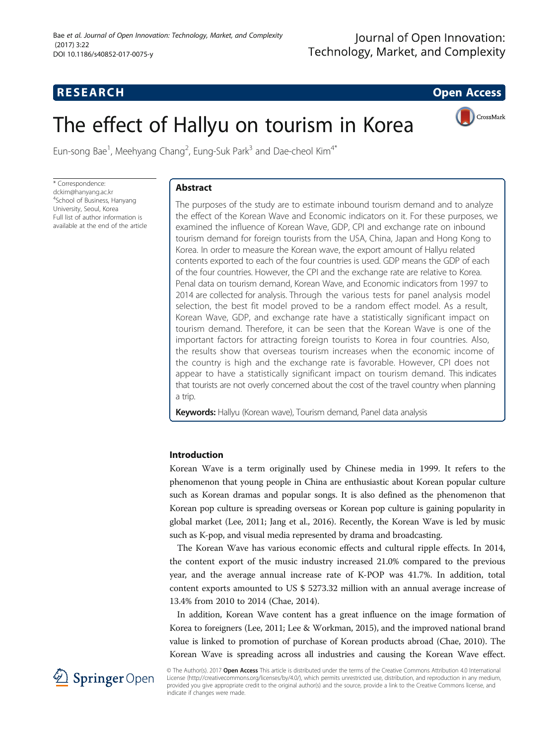

# The effect of Hallyu on tourism in Korea



Eun-song Bae<sup>1</sup>, Meehyang Chang<sup>2</sup>, Eung-Suk Park<sup>3</sup> and Dae-cheol Kim<sup>4\*</sup>

\* Correspondence: [dckim@hanyang.ac.kr](mailto:dckim@hanyang.ac.kr) 4 School of Business, Hanyang University, Seoul, Korea Full list of author information is available at the end of the article

# Abstract

The purposes of the study are to estimate inbound tourism demand and to analyze the effect of the Korean Wave and Economic indicators on it. For these purposes, we examined the influence of Korean Wave, GDP, CPI and exchange rate on inbound tourism demand for foreign tourists from the USA, China, Japan and Hong Kong to Korea. In order to measure the Korean wave, the export amount of Hallyu related contents exported to each of the four countries is used. GDP means the GDP of each of the four countries. However, the CPI and the exchange rate are relative to Korea. Penal data on tourism demand, Korean Wave, and Economic indicators from 1997 to 2014 are collected for analysis. Through the various tests for panel analysis model selection, the best fit model proved to be a random effect model. As a result, Korean Wave, GDP, and exchange rate have a statistically significant impact on tourism demand. Therefore, it can be seen that the Korean Wave is one of the important factors for attracting foreign tourists to Korea in four countries. Also, the results show that overseas tourism increases when the economic income of the country is high and the exchange rate is favorable. However, CPI does not appear to have a statistically significant impact on tourism demand. This indicates that tourists are not overly concerned about the cost of the travel country when planning a trip.

Keywords: Hallyu (Korean wave), Tourism demand, Panel data analysis

# Introduction

Korean Wave is a term originally used by Chinese media in 1999. It refers to the phenomenon that young people in China are enthusiastic about Korean popular culture such as Korean dramas and popular songs. It is also defined as the phenomenon that Korean pop culture is spreading overseas or Korean pop culture is gaining popularity in global market (Lee, [2011;](#page-10-0) Jang et al., [2016](#page-10-0)). Recently, the Korean Wave is led by music such as K-pop, and visual media represented by drama and broadcasting.

The Korean Wave has various economic effects and cultural ripple effects. In 2014, the content export of the music industry increased 21.0% compared to the previous year, and the average annual increase rate of K-POP was 41.7%. In addition, total content exports amounted to US \$ 5273.32 million with an annual average increase of 13.4% from 2010 to 2014 (Chae, [2014](#page-10-0)).

In addition, Korean Wave content has a great influence on the image formation of Korea to foreigners (Lee, [2011;](#page-10-0) Lee & Workman, [2015](#page-10-0)), and the improved national brand value is linked to promotion of purchase of Korean products abroad (Chae, [2010\)](#page-10-0). The Korean Wave is spreading across all industries and causing the Korean Wave effect.



© The Author(s). 2017 Open Access This article is distributed under the terms of the Creative Commons Attribution 4.0 International License [\(http://creativecommons.org/licenses/by/4.0/](http://creativecommons.org/licenses/by/4.0/)), which permits unrestricted use, distribution, and reproduction in any medium, provided you give appropriate credit to the original author(s) and the source, provide a link to the Creative Commons license, and indicate if changes were made.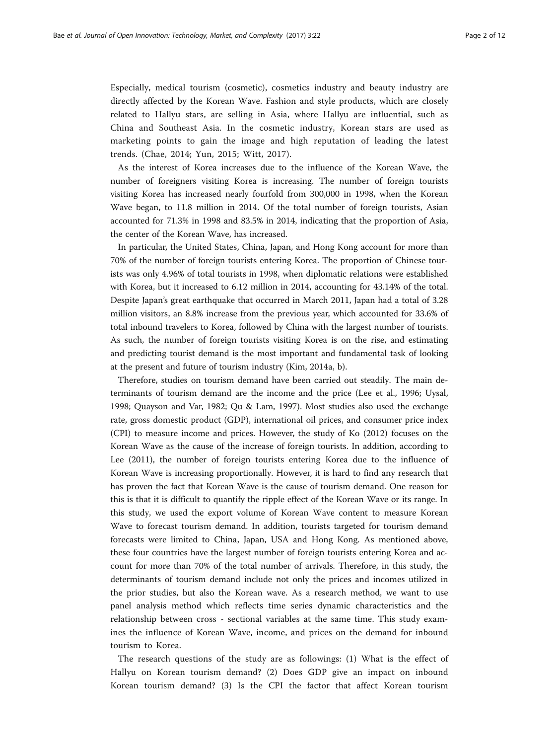Especially, medical tourism (cosmetic), cosmetics industry and beauty industry are directly affected by the Korean Wave. Fashion and style products, which are closely related to Hallyu stars, are selling in Asia, where Hallyu are influential, such as China and Southeast Asia. In the cosmetic industry, Korean stars are used as marketing points to gain the image and high reputation of leading the latest trends. (Chae, [2014](#page-10-0); Yun, [2015;](#page-11-0) Witt, [2017](#page-11-0)).

As the interest of Korea increases due to the influence of the Korean Wave, the number of foreigners visiting Korea is increasing. The number of foreign tourists visiting Korea has increased nearly fourfold from 300,000 in 1998, when the Korean Wave began, to 11.8 million in 2014. Of the total number of foreign tourists, Asian accounted for 71.3% in 1998 and 83.5% in 2014, indicating that the proportion of Asia, the center of the Korean Wave, has increased.

In particular, the United States, China, Japan, and Hong Kong account for more than 70% of the number of foreign tourists entering Korea. The proportion of Chinese tourists was only 4.96% of total tourists in 1998, when diplomatic relations were established with Korea, but it increased to 6.12 million in 2014, accounting for 43.14% of the total. Despite Japan's great earthquake that occurred in March 2011, Japan had a total of 3.28 million visitors, an 8.8% increase from the previous year, which accounted for 33.6% of total inbound travelers to Korea, followed by China with the largest number of tourists. As such, the number of foreign tourists visiting Korea is on the rise, and estimating and predicting tourist demand is the most important and fundamental task of looking at the present and future of tourism industry (Kim, [2014a](#page-10-0), [b\)](#page-10-0).

Therefore, studies on tourism demand have been carried out steadily. The main determinants of tourism demand are the income and the price (Lee et al., [1996;](#page-10-0) Uysal, [1998](#page-11-0); Quayson and Var, [1982;](#page-10-0) Qu & Lam, [1997](#page-10-0)). Most studies also used the exchange rate, gross domestic product (GDP), international oil prices, and consumer price index (CPI) to measure income and prices. However, the study of Ko [\(2012](#page-10-0)) focuses on the Korean Wave as the cause of the increase of foreign tourists. In addition, according to Lee [\(2011\)](#page-10-0), the number of foreign tourists entering Korea due to the influence of Korean Wave is increasing proportionally. However, it is hard to find any research that has proven the fact that Korean Wave is the cause of tourism demand. One reason for this is that it is difficult to quantify the ripple effect of the Korean Wave or its range. In this study, we used the export volume of Korean Wave content to measure Korean Wave to forecast tourism demand. In addition, tourists targeted for tourism demand forecasts were limited to China, Japan, USA and Hong Kong. As mentioned above, these four countries have the largest number of foreign tourists entering Korea and account for more than 70% of the total number of arrivals. Therefore, in this study, the determinants of tourism demand include not only the prices and incomes utilized in the prior studies, but also the Korean wave. As a research method, we want to use panel analysis method which reflects time series dynamic characteristics and the relationship between cross - sectional variables at the same time. This study examines the influence of Korean Wave, income, and prices on the demand for inbound tourism to Korea.

The research questions of the study are as followings: (1) What is the effect of Hallyu on Korean tourism demand? (2) Does GDP give an impact on inbound Korean tourism demand? (3) Is the CPI the factor that affect Korean tourism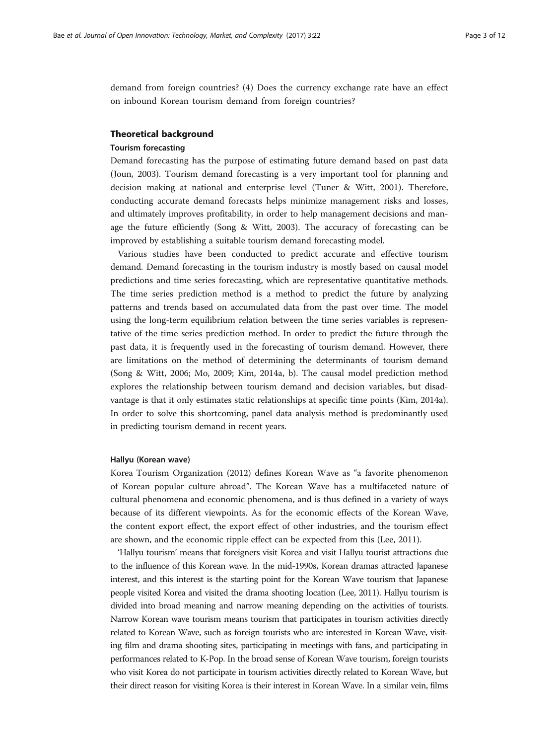demand from foreign countries? (4) Does the currency exchange rate have an effect on inbound Korean tourism demand from foreign countries?

#### Theoretical background

# Tourism forecasting

Demand forecasting has the purpose of estimating future demand based on past data (Joun, [2003](#page-10-0)). Tourism demand forecasting is a very important tool for planning and decision making at national and enterprise level (Tuner & Witt, [2001\)](#page-11-0). Therefore, conducting accurate demand forecasts helps minimize management risks and losses, and ultimately improves profitability, in order to help management decisions and manage the future efficiently (Song & Witt, [2003](#page-10-0)). The accuracy of forecasting can be improved by establishing a suitable tourism demand forecasting model.

Various studies have been conducted to predict accurate and effective tourism demand. Demand forecasting in the tourism industry is mostly based on causal model predictions and time series forecasting, which are representative quantitative methods. The time series prediction method is a method to predict the future by analyzing patterns and trends based on accumulated data from the past over time. The model using the long-term equilibrium relation between the time series variables is representative of the time series prediction method. In order to predict the future through the past data, it is frequently used in the forecasting of tourism demand. However, there are limitations on the method of determining the determinants of tourism demand (Song & Witt, [2006](#page-10-0); Mo, [2009](#page-10-0); Kim, [2014a](#page-10-0), [b](#page-10-0)). The causal model prediction method explores the relationship between tourism demand and decision variables, but disadvantage is that it only estimates static relationships at specific time points (Kim, [2014a](#page-10-0)). In order to solve this shortcoming, panel data analysis method is predominantly used in predicting tourism demand in recent years.

#### Hallyu (Korean wave)

Korea Tourism Organization ([2012\)](#page-10-0) defines Korean Wave as "a favorite phenomenon of Korean popular culture abroad". The Korean Wave has a multifaceted nature of cultural phenomena and economic phenomena, and is thus defined in a variety of ways because of its different viewpoints. As for the economic effects of the Korean Wave, the content export effect, the export effect of other industries, and the tourism effect are shown, and the economic ripple effect can be expected from this (Lee, [2011](#page-10-0)).

'Hallyu tourism' means that foreigners visit Korea and visit Hallyu tourist attractions due to the influence of this Korean wave. In the mid-1990s, Korean dramas attracted Japanese interest, and this interest is the starting point for the Korean Wave tourism that Japanese people visited Korea and visited the drama shooting location (Lee, [2011](#page-10-0)). Hallyu tourism is divided into broad meaning and narrow meaning depending on the activities of tourists. Narrow Korean wave tourism means tourism that participates in tourism activities directly related to Korean Wave, such as foreign tourists who are interested in Korean Wave, visiting film and drama shooting sites, participating in meetings with fans, and participating in performances related to K-Pop. In the broad sense of Korean Wave tourism, foreign tourists who visit Korea do not participate in tourism activities directly related to Korean Wave, but their direct reason for visiting Korea is their interest in Korean Wave. In a similar vein, films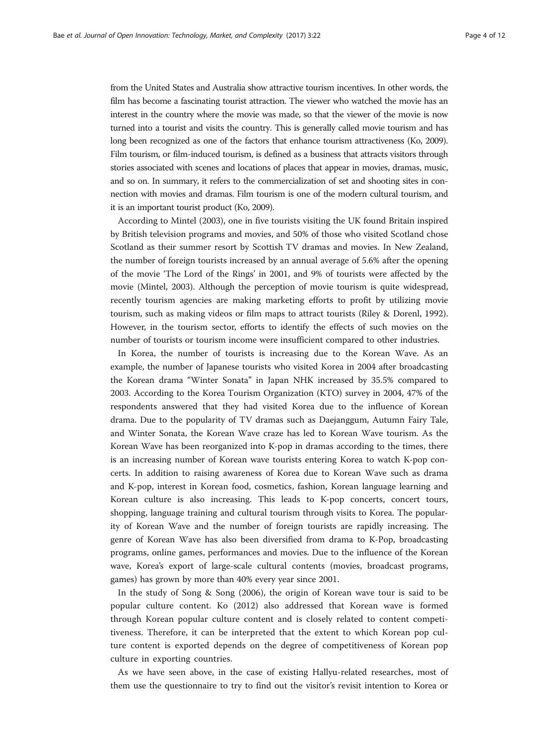from the United States and Australia show attractive tourism incentives. In other words, the film has become a fascinating tourist attraction. The viewer who watched the movie has an interest in the country where the movie was made, so that the viewer of the movie is now turned into a tourist and visits the country. This is generally called movie tourism and has long been recognized as one of the factors that enhance tourism attractiveness (Ko, [2009](#page-10-0)). Film tourism, or film-induced tourism, is defined as a business that attracts visitors through stories associated with scenes and locations of places that appear in movies, dramas, music, and so on. In summary, it refers to the commercialization of set and shooting sites in connection with movies and dramas. Film tourism is one of the modern cultural tourism, and it is an important tourist product (Ko, [2009](#page-10-0)).

According to Mintel [\(2003](#page-10-0)), one in five tourists visiting the UK found Britain inspired by British television programs and movies, and 50% of those who visited Scotland chose Scotland as their summer resort by Scottish TV dramas and movies. In New Zealand, the number of foreign tourists increased by an annual average of 5.6% after the opening of the movie 'The Lord of the Rings' in 2001, and 9% of tourists were affected by the movie (Mintel, [2003](#page-10-0)). Although the perception of movie tourism is quite widespread, recently tourism agencies are making marketing efforts to profit by utilizing movie tourism, such as making videos or film maps to attract tourists (Riley & Dorenl, [1992](#page-10-0)). However, in the tourism sector, efforts to identify the effects of such movies on the number of tourists or tourism income were insufficient compared to other industries.

In Korea, the number of tourists is increasing due to the Korean Wave. As an example, the number of Japanese tourists who visited Korea in 2004 after broadcasting the Korean drama "Winter Sonata" in Japan NHK increased by 35.5% compared to 2003. According to the Korea Tourism Organization (KTO) survey in 2004, 47% of the respondents answered that they had visited Korea due to the influence of Korean drama. Due to the popularity of TV dramas such as Daejanggum, Autumn Fairy Tale, and Winter Sonata, the Korean Wave craze has led to Korean Wave tourism. As the Korean Wave has been reorganized into K-pop in dramas according to the times, there is an increasing number of Korean wave tourists entering Korea to watch K-pop concerts. In addition to raising awareness of Korea due to Korean Wave such as drama and K-pop, interest in Korean food, cosmetics, fashion, Korean language learning and Korean culture is also increasing. This leads to K-pop concerts, concert tours, shopping, language training and cultural tourism through visits to Korea. The popularity of Korean Wave and the number of foreign tourists are rapidly increasing. The genre of Korean Wave has also been diversified from drama to K-Pop, broadcasting programs, online games, performances and movies. Due to the influence of the Korean wave, Korea's export of large-scale cultural contents (movies, broadcast programs, games) has grown by more than 40% every year since 2001.

In the study of Song & Song ([2006\)](#page-10-0), the origin of Korean wave tour is said to be popular culture content. Ko [\(2012](#page-10-0)) also addressed that Korean wave is formed through Korean popular culture content and is closely related to content competitiveness. Therefore, it can be interpreted that the extent to which Korean pop culture content is exported depends on the degree of competitiveness of Korean pop culture in exporting countries.

As we have seen above, in the case of existing Hallyu-related researches, most of them use the questionnaire to try to find out the visitor's revisit intention to Korea or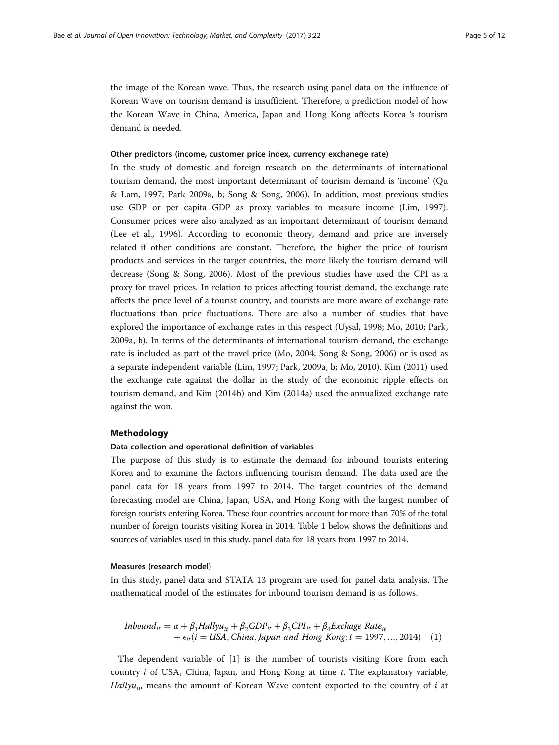the image of the Korean wave. Thus, the research using panel data on the influence of Korean Wave on tourism demand is insufficient. Therefore, a prediction model of how the Korean Wave in China, America, Japan and Hong Kong affects Korea 's tourism demand is needed.

#### Other predictors (income, customer price index, currency exchanege rate)

In the study of domestic and foreign research on the determinants of international tourism demand, the most important determinant of tourism demand is 'income' (Qu & Lam, [1997;](#page-10-0) Park [2009a, b;](#page-10-0) Song & Song, [2006\)](#page-10-0). In addition, most previous studies use GDP or per capita GDP as proxy variables to measure income (Lim, [1997](#page-10-0)). Consumer prices were also analyzed as an important determinant of tourism demand (Lee et al., [1996\)](#page-10-0). According to economic theory, demand and price are inversely related if other conditions are constant. Therefore, the higher the price of tourism products and services in the target countries, the more likely the tourism demand will decrease (Song & Song, [2006](#page-10-0)). Most of the previous studies have used the CPI as a proxy for travel prices. In relation to prices affecting tourist demand, the exchange rate affects the price level of a tourist country, and tourists are more aware of exchange rate fluctuations than price fluctuations. There are also a number of studies that have explored the importance of exchange rates in this respect (Uysal, [1998](#page-11-0); Mo, [2010](#page-10-0); Park, [2009a, b](#page-10-0)). In terms of the determinants of international tourism demand, the exchange rate is included as part of the travel price (Mo, [2004;](#page-10-0) Song & Song, [2006](#page-10-0)) or is used as a separate independent variable (Lim, [1997;](#page-10-0) Park, [2009a](#page-10-0), [b](#page-10-0); Mo, [2010](#page-10-0)). Kim [\(2011\)](#page-10-0) used the exchange rate against the dollar in the study of the economic ripple effects on tourism demand, and Kim ([2014b](#page-10-0)) and Kim ([2014a\)](#page-10-0) used the annualized exchange rate against the won.

## Methodology

#### Data collection and operational definition of variables

The purpose of this study is to estimate the demand for inbound tourists entering Korea and to examine the factors influencing tourism demand. The data used are the panel data for 18 years from 1997 to 2014. The target countries of the demand forecasting model are China, Japan, USA, and Hong Kong with the largest number of foreign tourists entering Korea. These four countries account for more than 70% of the total number of foreign tourists visiting Korea in 2014. Table [1](#page-5-0) below shows the definitions and sources of variables used in this study. panel data for 18 years from 1997 to 2014.

# Measures (research model)

In this study, panel data and STATA 13 program are used for panel data analysis. The mathematical model of the estimates for inbound tourism demand is as follows.

*Inbound<sub>it</sub>* = 
$$
\alpha + \beta_1
$$
*Hallyu<sub>it</sub>* +  $\beta_2$ *GDP<sub>it</sub>* +  $\beta_3$ *CPI<sub>it</sub>* +  $\beta_4$ *Exchange Rate<sub>it</sub>*  
+  $\epsilon_{it}$ (*i* = USA, China, Japan and Hong Kong; *t* = 1997, ..., 2014) (1)

The dependent variable of [1] is the number of tourists visiting Kore from each country  $i$  of USA, China, Japan, and Hong Kong at time  $t$ . The explanatory variable, Hallyu<sub>it</sub>, means the amount of Korean Wave content exported to the country of  $i$  at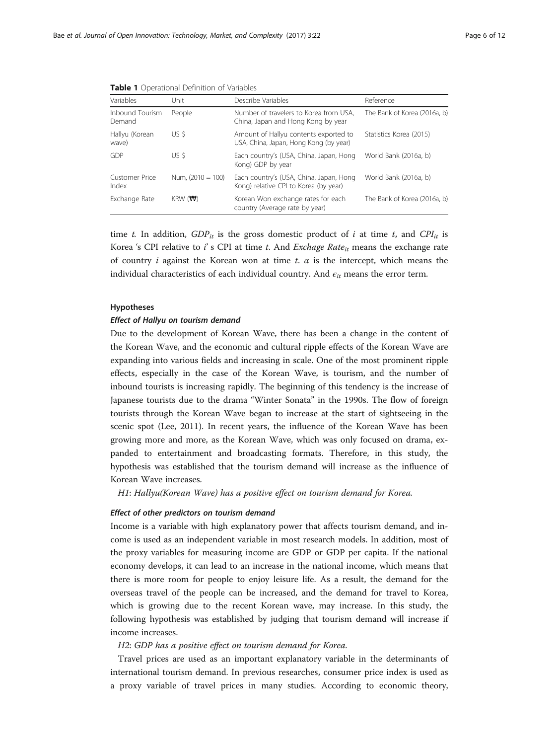| Variables                 | Unit                        | Describe Variables                                                               | Reference                    |  |
|---------------------------|-----------------------------|----------------------------------------------------------------------------------|------------------------------|--|
| Inbound Tourism<br>Demand | People                      | Number of travelers to Korea from USA,<br>China, Japan and Hong Kong by year     | The Bank of Korea (2016a, b) |  |
| Hallyu (Korean<br>wave)   | US \$                       | Amount of Hallyu contents exported to<br>USA, China, Japan, Hong Kong (by year)  | Statistics Korea (2015)      |  |
| GDP                       | US \$                       | Each country's (USA, China, Japan, Hong<br>Kong) GDP by year                     | World Bank (2016a, b)        |  |
| Customer Price<br>Index   | Num. $(2010 = 100)$         | Each country's (USA, China, Japan, Hong<br>Kong) relative CPI to Korea (by year) | World Bank (2016a, b)        |  |
| Exchange Rate             | $KRW$ ( $\forall \forall$ ) | Korean Won exchange rates for each<br>country (Average rate by year)             | The Bank of Korea (2016a, b) |  |

<span id="page-5-0"></span>Table 1 Operational Definition of Variables

time t. In addition,  $GDP_{it}$  is the gross domestic product of i at time t, and  $CPI_{it}$  is Korea 's CPI relative to i' s CPI at time t. And Exchage Rate<sub>it</sub> means the exchange rate of country i against the Korean won at time t.  $\alpha$  is the intercept, which means the individual characteristics of each individual country. And  $\epsilon_{it}$  means the error term.

#### Hypotheses

#### Effect of Hallyu on tourism demand

Due to the development of Korean Wave, there has been a change in the content of the Korean Wave, and the economic and cultural ripple effects of the Korean Wave are expanding into various fields and increasing in scale. One of the most prominent ripple effects, especially in the case of the Korean Wave, is tourism, and the number of inbound tourists is increasing rapidly. The beginning of this tendency is the increase of Japanese tourists due to the drama "Winter Sonata" in the 1990s. The flow of foreign tourists through the Korean Wave began to increase at the start of sightseeing in the scenic spot (Lee, [2011\)](#page-10-0). In recent years, the influence of the Korean Wave has been growing more and more, as the Korean Wave, which was only focused on drama, expanded to entertainment and broadcasting formats. Therefore, in this study, the hypothesis was established that the tourism demand will increase as the influence of Korean Wave increases.

H1: Hallyu(Korean Wave) has a positive effect on tourism demand for Korea.

#### Effect of other predictors on tourism demand

Income is a variable with high explanatory power that affects tourism demand, and income is used as an independent variable in most research models. In addition, most of the proxy variables for measuring income are GDP or GDP per capita. If the national economy develops, it can lead to an increase in the national income, which means that there is more room for people to enjoy leisure life. As a result, the demand for the overseas travel of the people can be increased, and the demand for travel to Korea, which is growing due to the recent Korean wave, may increase. In this study, the following hypothesis was established by judging that tourism demand will increase if income increases.

# H2: GDP has a positive effect on tourism demand for Korea.

Travel prices are used as an important explanatory variable in the determinants of international tourism demand. In previous researches, consumer price index is used as a proxy variable of travel prices in many studies. According to economic theory,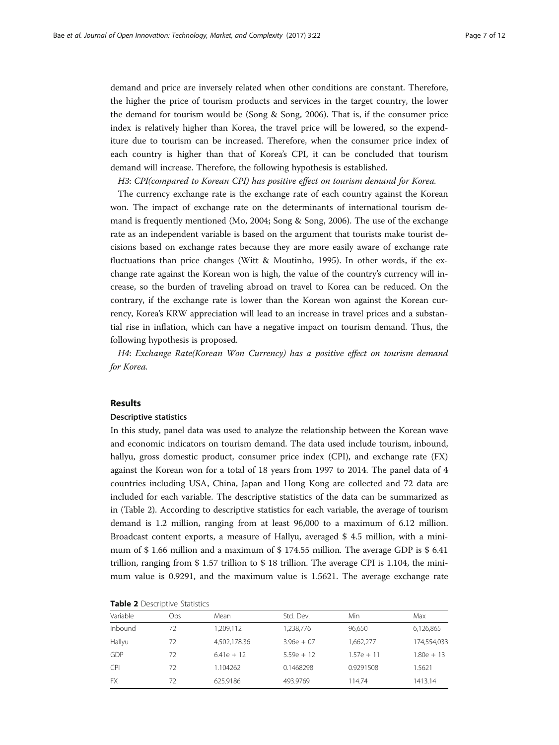demand and price are inversely related when other conditions are constant. Therefore, the higher the price of tourism products and services in the target country, the lower the demand for tourism would be (Song & Song, [2006\)](#page-10-0). That is, if the consumer price index is relatively higher than Korea, the travel price will be lowered, so the expenditure due to tourism can be increased. Therefore, when the consumer price index of each country is higher than that of Korea's CPI, it can be concluded that tourism demand will increase. Therefore, the following hypothesis is established.

H3: CPI(compared to Korean CPI) has positive effect on tourism demand for Korea.

The currency exchange rate is the exchange rate of each country against the Korean won. The impact of exchange rate on the determinants of international tourism demand is frequently mentioned (Mo, [2004](#page-10-0); Song & Song, [2006\)](#page-10-0). The use of the exchange rate as an independent variable is based on the argument that tourists make tourist decisions based on exchange rates because they are more easily aware of exchange rate fluctuations than price changes (Witt & Moutinho, [1995](#page-11-0)). In other words, if the exchange rate against the Korean won is high, the value of the country's currency will increase, so the burden of traveling abroad on travel to Korea can be reduced. On the contrary, if the exchange rate is lower than the Korean won against the Korean currency, Korea's KRW appreciation will lead to an increase in travel prices and a substantial rise in inflation, which can have a negative impact on tourism demand. Thus, the following hypothesis is proposed.

H4: Exchange Rate(Korean Won Currency) has a positive effect on tourism demand for Korea.

# Results

#### Descriptive statistics

In this study, panel data was used to analyze the relationship between the Korean wave and economic indicators on tourism demand. The data used include tourism, inbound, hallyu, gross domestic product, consumer price index (CPI), and exchange rate (FX) against the Korean won for a total of 18 years from 1997 to 2014. The panel data of 4 countries including USA, China, Japan and Hong Kong are collected and 72 data are included for each variable. The descriptive statistics of the data can be summarized as in (Table 2). According to descriptive statistics for each variable, the average of tourism demand is 1.2 million, ranging from at least 96,000 to a maximum of 6.12 million. Broadcast content exports, a measure of Hallyu, averaged \$ 4.5 million, with a minimum of \$ 1.66 million and a maximum of \$ 174.55 million. The average GDP is \$ 6.41 trillion, ranging from \$ 1.57 trillion to \$ 18 trillion. The average CPI is 1.104, the minimum value is 0.9291, and the maximum value is 1.5621. The average exchange rate

| <b>Table 2</b> Descriptive Statistics |  |
|---------------------------------------|--|
|---------------------------------------|--|

| Variable   | Obs | Mean         | Std. Dev.    | Min          | Max          |
|------------|-----|--------------|--------------|--------------|--------------|
| Inbound    | 72  | 1,209,112    | 1,238,776    | 96,650       | 6,126,865    |
| Hallyu     | 72  | 4,502,178.36 | $3.96e + 07$ | 1,662,277    | 174,554,033  |
| <b>GDP</b> | 72  | $6.41e + 12$ | $5.59e + 12$ | $1.57e + 11$ | $1.80e + 13$ |
| <b>CPI</b> | 72  | 1.104262     | 0.1468298    | 0.9291508    | 1.5621       |
| <b>FX</b>  | 72  | 625.9186     | 493.9769     | 114.74       | 1413.14      |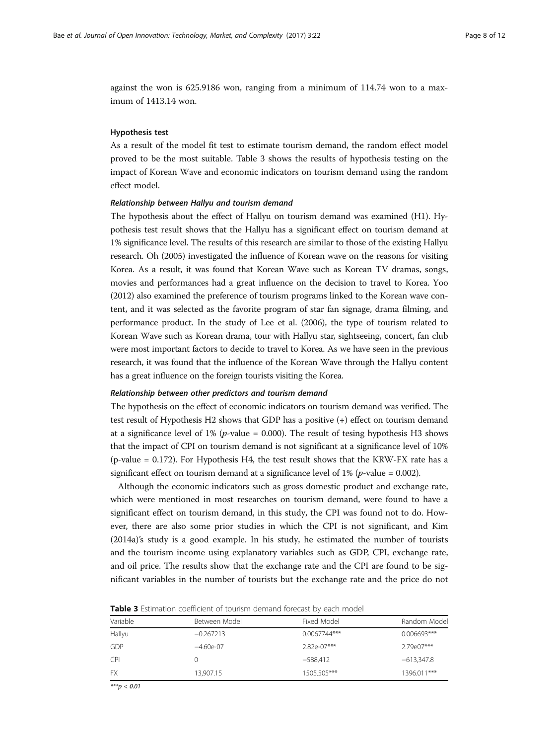against the won is 625.9186 won, ranging from a minimum of 114.74 won to a maximum of 1413.14 won.

## Hypothesis test

As a result of the model fit test to estimate tourism demand, the random effect model proved to be the most suitable. Table 3 shows the results of hypothesis testing on the impact of Korean Wave and economic indicators on tourism demand using the random effect model.

#### Relationship between Hallyu and tourism demand

The hypothesis about the effect of Hallyu on tourism demand was examined (H1). Hypothesis test result shows that the Hallyu has a significant effect on tourism demand at 1% significance level. The results of this research are similar to those of the existing Hallyu research. Oh [\(2005](#page-10-0)) investigated the influence of Korean wave on the reasons for visiting Korea. As a result, it was found that Korean Wave such as Korean TV dramas, songs, movies and performances had a great influence on the decision to travel to Korea. Yoo ([2012\)](#page-11-0) also examined the preference of tourism programs linked to the Korean wave content, and it was selected as the favorite program of star fan signage, drama filming, and performance product. In the study of Lee et al. ([2006](#page-10-0)), the type of tourism related to Korean Wave such as Korean drama, tour with Hallyu star, sightseeing, concert, fan club were most important factors to decide to travel to Korea. As we have seen in the previous research, it was found that the influence of the Korean Wave through the Hallyu content has a great influence on the foreign tourists visiting the Korea.

#### Relationship between other predictors and tourism demand

The hypothesis on the effect of economic indicators on tourism demand was verified. The test result of Hypothesis H2 shows that GDP has a positive (+) effect on tourism demand at a significance level of 1% (*p*-value = 0.000). The result of tesing hypothesis H3 shows that the impact of CPI on tourism demand is not significant at a significance level of 10% (p-value = 0.172). For Hypothesis H4, the test result shows that the KRW-FX rate has a significant effect on tourism demand at a significance level of 1% (*p*-value = 0.002).

Although the economic indicators such as gross domestic product and exchange rate, which were mentioned in most researches on tourism demand, were found to have a significant effect on tourism demand, in this study, the CPI was found not to do. However, there are also some prior studies in which the CPI is not significant, and Kim ([2014a\)](#page-10-0)'s study is a good example. In his study, he estimated the number of tourists and the tourism income using explanatory variables such as GDP, CPI, exchange rate, and oil price. The results show that the exchange rate and the CPI are found to be significant variables in the number of tourists but the exchange rate and the price do not

| <b>Table 3</b> Estimation coefficient of tourism demand forecast by each model |  |  |
|--------------------------------------------------------------------------------|--|--|
|                                                                                |  |  |

| Variable   | Between Model | Fixed Model    | Random Model  |
|------------|---------------|----------------|---------------|
| Hallyu     | $-0.267213$   | $0.0067744***$ | $0.006693***$ |
| GDP        | $-4.60e-07$   | $2.82e-07***$  | 2.79e07***    |
| <b>CPI</b> |               | $-588.412$     | $-613,347.8$  |
| <b>FX</b>  | 13.907.15     | 1505.505***    | 1396.011***   |

 $***p < 0.01$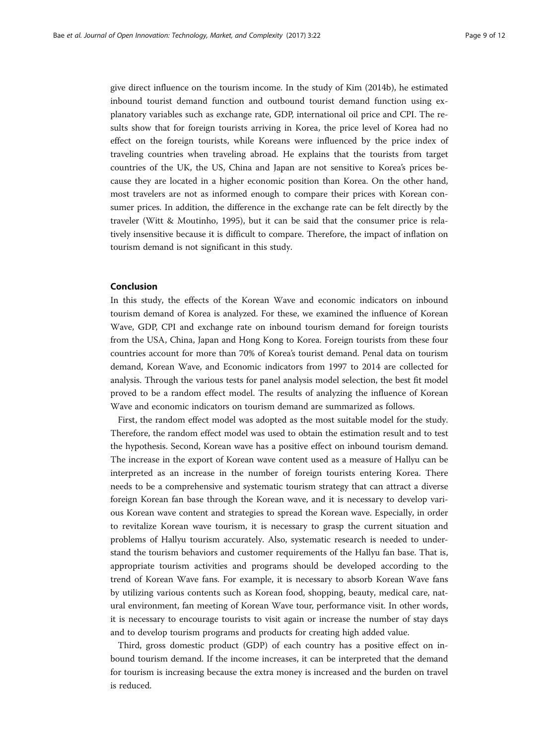give direct influence on the tourism income. In the study of Kim [\(2014b\)](#page-10-0), he estimated inbound tourist demand function and outbound tourist demand function using explanatory variables such as exchange rate, GDP, international oil price and CPI. The results show that for foreign tourists arriving in Korea, the price level of Korea had no effect on the foreign tourists, while Koreans were influenced by the price index of traveling countries when traveling abroad. He explains that the tourists from target countries of the UK, the US, China and Japan are not sensitive to Korea's prices because they are located in a higher economic position than Korea. On the other hand, most travelers are not as informed enough to compare their prices with Korean consumer prices. In addition, the difference in the exchange rate can be felt directly by the traveler (Witt & Moutinho, [1995\)](#page-11-0), but it can be said that the consumer price is relatively insensitive because it is difficult to compare. Therefore, the impact of inflation on tourism demand is not significant in this study.

# Conclusion

In this study, the effects of the Korean Wave and economic indicators on inbound tourism demand of Korea is analyzed. For these, we examined the influence of Korean Wave, GDP, CPI and exchange rate on inbound tourism demand for foreign tourists from the USA, China, Japan and Hong Kong to Korea. Foreign tourists from these four countries account for more than 70% of Korea's tourist demand. Penal data on tourism demand, Korean Wave, and Economic indicators from 1997 to 2014 are collected for analysis. Through the various tests for panel analysis model selection, the best fit model proved to be a random effect model. The results of analyzing the influence of Korean Wave and economic indicators on tourism demand are summarized as follows.

First, the random effect model was adopted as the most suitable model for the study. Therefore, the random effect model was used to obtain the estimation result and to test the hypothesis. Second, Korean wave has a positive effect on inbound tourism demand. The increase in the export of Korean wave content used as a measure of Hallyu can be interpreted as an increase in the number of foreign tourists entering Korea. There needs to be a comprehensive and systematic tourism strategy that can attract a diverse foreign Korean fan base through the Korean wave, and it is necessary to develop various Korean wave content and strategies to spread the Korean wave. Especially, in order to revitalize Korean wave tourism, it is necessary to grasp the current situation and problems of Hallyu tourism accurately. Also, systematic research is needed to understand the tourism behaviors and customer requirements of the Hallyu fan base. That is, appropriate tourism activities and programs should be developed according to the trend of Korean Wave fans. For example, it is necessary to absorb Korean Wave fans by utilizing various contents such as Korean food, shopping, beauty, medical care, natural environment, fan meeting of Korean Wave tour, performance visit. In other words, it is necessary to encourage tourists to visit again or increase the number of stay days and to develop tourism programs and products for creating high added value.

Third, gross domestic product (GDP) of each country has a positive effect on inbound tourism demand. If the income increases, it can be interpreted that the demand for tourism is increasing because the extra money is increased and the burden on travel is reduced.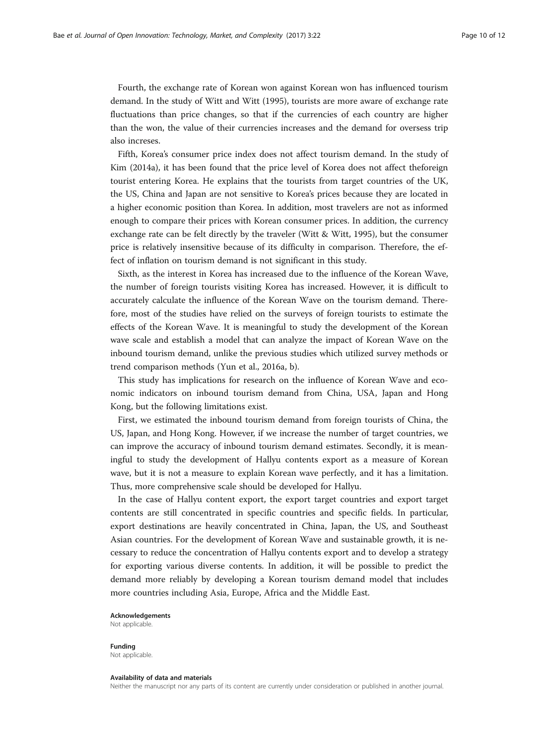Fourth, the exchange rate of Korean won against Korean won has influenced tourism demand. In the study of Witt and Witt ([1995\)](#page-11-0), tourists are more aware of exchange rate fluctuations than price changes, so that if the currencies of each country are higher than the won, the value of their currencies increases and the demand for oversess trip also increses.

Fifth, Korea's consumer price index does not affect tourism demand. In the study of Kim ([2014a\)](#page-10-0), it has been found that the price level of Korea does not affect theforeign tourist entering Korea. He explains that the tourists from target countries of the UK, the US, China and Japan are not sensitive to Korea's prices because they are located in a higher economic position than Korea. In addition, most travelers are not as informed enough to compare their prices with Korean consumer prices. In addition, the currency exchange rate can be felt directly by the traveler (Witt & Witt, [1995\)](#page-11-0), but the consumer price is relatively insensitive because of its difficulty in comparison. Therefore, the effect of inflation on tourism demand is not significant in this study.

Sixth, as the interest in Korea has increased due to the influence of the Korean Wave, the number of foreign tourists visiting Korea has increased. However, it is difficult to accurately calculate the influence of the Korean Wave on the tourism demand. Therefore, most of the studies have relied on the surveys of foreign tourists to estimate the effects of the Korean Wave. It is meaningful to study the development of the Korean wave scale and establish a model that can analyze the impact of Korean Wave on the inbound tourism demand, unlike the previous studies which utilized survey methods or trend comparison methods (Yun et al., [2016a](#page-11-0), [b\)](#page-11-0).

This study has implications for research on the influence of Korean Wave and economic indicators on inbound tourism demand from China, USA, Japan and Hong Kong, but the following limitations exist.

First, we estimated the inbound tourism demand from foreign tourists of China, the US, Japan, and Hong Kong. However, if we increase the number of target countries, we can improve the accuracy of inbound tourism demand estimates. Secondly, it is meaningful to study the development of Hallyu contents export as a measure of Korean wave, but it is not a measure to explain Korean wave perfectly, and it has a limitation. Thus, more comprehensive scale should be developed for Hallyu.

In the case of Hallyu content export, the export target countries and export target contents are still concentrated in specific countries and specific fields. In particular, export destinations are heavily concentrated in China, Japan, the US, and Southeast Asian countries. For the development of Korean Wave and sustainable growth, it is necessary to reduce the concentration of Hallyu contents export and to develop a strategy for exporting various diverse contents. In addition, it will be possible to predict the demand more reliably by developing a Korean tourism demand model that includes more countries including Asia, Europe, Africa and the Middle East.

#### Acknowledgements

Not applicable.

Funding Not applicable.

#### Availability of data and materials

Neither the manuscript nor any parts of its content are currently under consideration or published in another journal.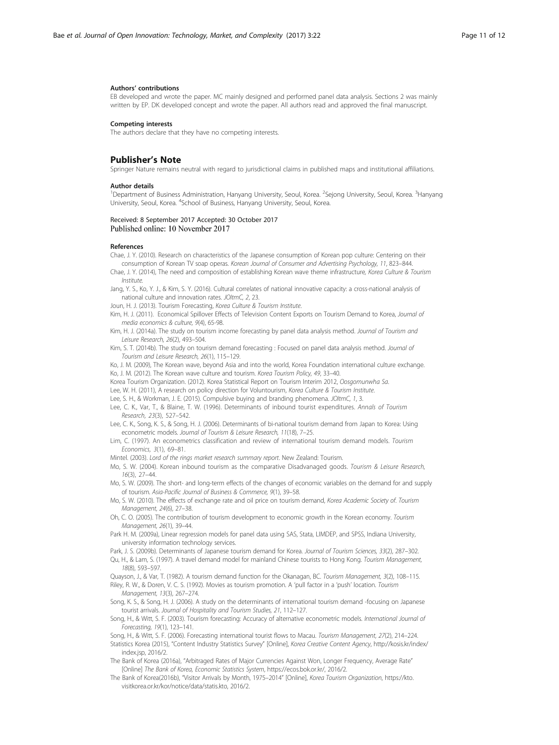#### <span id="page-10-0"></span>Authors' contributions

EB developed and wrote the paper. MC mainly designed and performed panel data analysis. Sections 2 was mainly written by EP. DK developed concept and wrote the paper. All authors read and approved the final manuscript.

#### Competing interests

The authors declare that they have no competing interests.

#### Publisher's Note

Springer Nature remains neutral with regard to jurisdictional claims in published maps and institutional affiliations.

#### Author details

<sup>1</sup>Department of Business Administration, Hanyang University, Seoul, Korea. <sup>2</sup>Sejong University, Seoul, Korea. <sup>3</sup>Hanyang University, Seoul, Korea. <sup>4</sup>School of Business, Hanyang University, Seoul, Korea.

#### Received: 8 September 2017 Accepted: 30 October 2017 Published online: 10 November 2017

#### References

Chae, J. Y. (2010). Research on characteristics of the Japanese consumption of Korean pop culture: Centering on their consumption of Korean TV soap operas. Korean Journal of Consumer and Advertising Psychology, 11, 823–844.

- Chae, J. Y. (2014), The need and composition of establishing Korean wave theme infrastructure, Korea Culture & Tourism Institute.
- Jang, Y. S., Ko, Y. J., & Kim, S. Y. (2016). Cultural correlates of national innovative capacity: a cross-national analysis of national culture and innovation rates. JOItmC, 2, 23.
- Joun, H. J. (2013). Tourism Forecasting, Korea Culture & Tourism Institute.

Kim, H. J. (2011). Economical Spillover Effects of Television Content Exports on Tourism Demand to Korea, Journal of media economics & culture, 9(4), 65-98.

Kim, H. J. (2014a). The study on tourism income forecasting by panel data analysis method. Journal of Tourism and Leisure Research, 26(2), 493–504.

Kim, S. T. (2014b). The study on tourism demand forecasting : Focused on panel data analysis method. Journal of Tourism and Leisure Research, 26(1), 115–129.

Ko, J. M. (2009), The Korean wave, beyond Asia and into the world, Korea Foundation international culture exchange. Ko, J. M. (2012). The Korean wave culture and tourism. Korea Tourism Policy, 49, 33–40.

Korea Tourism Organization. (2012). Korea Statistical Report on Tourism Interim 2012, Oosgomunwha Sa.

Lee, W. H. (2011), A research on policy direction for Voluntourism, Korea Culture & Tourism Institute.

Lee, S. H., & Workman, J. E. (2015). Compulsive buying and branding phenomena. JOItmC, 1, 3.

- Lee, C. K., Var, T., & Blaine, T. W. (1996). Determinants of inbound tourist expenditures. Annals of Tourism Research, 23(3), 527–542.
- Lee, C. K., Song, K. S., & Song, H. J. (2006). Determinants of bi-national tourism demand from Japan to Korea: Using econometric models. Journal of Tourism & Leisure Research, 11(18), 7–25.

Lim, C. (1997). An econometrics classification and review of international tourism demand models. Tourism Economics, 3(1), 69–81.

Mintel. (2003). Lord of the rings market research summary report. New Zealand: Tourism.

Mo, S. W. (2004). Korean inbound tourism as the comparative Disadvanaged goods. Tourism & Leisure Research, 16(3), 27–44.

Mo, S. W. (2009). The short- and long-term effects of the changes of economic variables on the demand for and supply of tourism. Asia-Pacific Journal of Business & Commerce, 9(1), 39–58.

Mo, S. W. (2010). The effects of exchange rate and oil price on tourism demand, Korea Academic Society of. Tourism Management, 24(6), 27–38.

- Oh, C. O. (2005). The contribution of tourism development to economic growth in the Korean economy. Tourism Management, 26(1), 39–44.
- Park H. M. (2009a), Linear regression models for panel data using SAS, Stata, LIMDEP, and SPSS, Indiana University, university information technology services.

Park, J. S. (2009b). Determinants of Japanese tourism demand for Korea. Journal of Tourism Sciences, 33(2), 287-302.

Qu, H., & Lam, S. (1997). A travel demand model for mainland Chinese tourists to Hong Kong. Tourism Management, 18(8), 593–597.

Quayson, J., & Var, T. (1982). A tourism demand function for the Okanagan, BC. Tourism Management, 3(2), 108-115.

Riley, R. W., & Doren, V. C. S. (1992). Movies as tourism promotion. A 'pull factor in a 'push' location. Tourism Management, 13(3), 267–274.

Song, K. S., & Song, H. J. (2006). A study on the determinants of international tourism demand -focusing on Japanese tourist arrivals. Journal of Hospitality and Tourism Studies, 21, 112–127.

Song, H., & Witt, S. F. (2003). Tourism forecasting: Accuracy of alternative econometric models. International Journal of Forecasting, 19(1), 123–141.

Song, H., & Witt, S. F. (2006). Forecasting international tourist flows to Macau. Tourism Management, 27(2), 214–224. Statistics Korea (2015), "Content Industry Statistics Survey" [Online], Korea Creative Content Agency, [http://kosis.kr/index/](http://kosis.kr/index/index.jsp) [index.jsp](http://kosis.kr/index/index.jsp), 2016/2.

- The Bank of Korea (2016a), "Arbitraged Rates of Major Currencies Against Won, Longer Frequency, Average Rate" [Online] The Bank of Korea, Economic Statistics System, [https://ecos.bok.or.kr/,](https://ecos.bok.or.kr/) 2016/2.
- The Bank of Korea(2016b), "Visitor Arrivals by Month, 1975–2014" [Online], Korea Tourism Organization, [https://kto.](https://kto.visitkorea.or.kr/kor/notice/data/statis.kto) [visitkorea.or.kr/kor/notice/data/statis.kto](https://kto.visitkorea.or.kr/kor/notice/data/statis.kto), 2016/2.